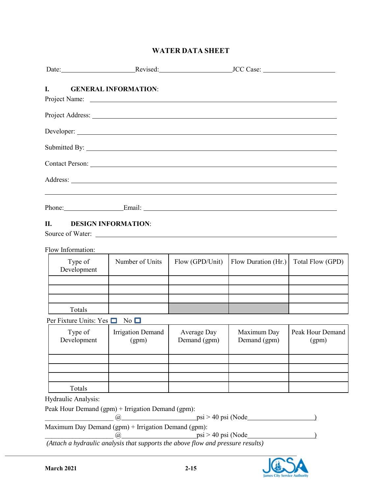### **WATER DATA SHEET**

| Date: Revised: Revised: JCC Case:                                                                                   |                                        |                             |                                                                                  |                  |
|---------------------------------------------------------------------------------------------------------------------|----------------------------------------|-----------------------------|----------------------------------------------------------------------------------|------------------|
| I.                                                                                                                  | <b>GENERAL INFORMATION:</b>            |                             |                                                                                  |                  |
|                                                                                                                     |                                        |                             |                                                                                  |                  |
|                                                                                                                     |                                        |                             |                                                                                  |                  |
| Submitted By:                                                                                                       |                                        |                             |                                                                                  |                  |
|                                                                                                                     |                                        |                             |                                                                                  |                  |
|                                                                                                                     |                                        |                             |                                                                                  |                  |
|                                                                                                                     |                                        |                             | ,我们也不会有什么。""我们的人,我们也不会有什么?""我们的人,我们也不会有什么?""我们的人,我们也不会有什么?""我们的人,我们也不会有什么?""我们的人 |                  |
| П.<br>Source of Water:                                                                                              | <b>DESIGN INFORMATION:</b>             |                             |                                                                                  |                  |
| Flow Information:                                                                                                   |                                        |                             |                                                                                  |                  |
| Type of<br>Development                                                                                              | Number of Units                        | Flow (GPD/Unit)             | Flow Duration (Hr.)                                                              | Total Flow (GPD) |
|                                                                                                                     |                                        |                             |                                                                                  |                  |
| Totals                                                                                                              |                                        |                             |                                                                                  |                  |
| Per Fixture Units: Yes $\Box$ No $\Box$                                                                             |                                        |                             |                                                                                  |                  |
| Type of                                                                                                             | Irrigation Demand<br>Development (gpm) | Average Day<br>Demand (gpm) | Maximum Day<br>Demand (gpm) (gpm)                                                | Peak Hour Demand |
|                                                                                                                     |                                        |                             |                                                                                  |                  |
|                                                                                                                     |                                        |                             |                                                                                  |                  |
| Totals                                                                                                              |                                        |                             |                                                                                  |                  |
| Hydraulic Analysis:                                                                                                 |                                        |                             |                                                                                  |                  |
| Peak Hour Demand (gpm) + Irrigation Demand (gpm):                                                                   | @,                                     |                             | $psi > 40$ psi (Node                                                             |                  |
| Maximum Day Demand (gpm) + Irrigation Demand (gpm):                                                                 |                                        |                             |                                                                                  |                  |
| $\frac{a}{a}$ psi > 40 psi (Node<br>(Attach a hydraulic analysis that supports the above flow and pressure results) |                                        |                             |                                                                                  |                  |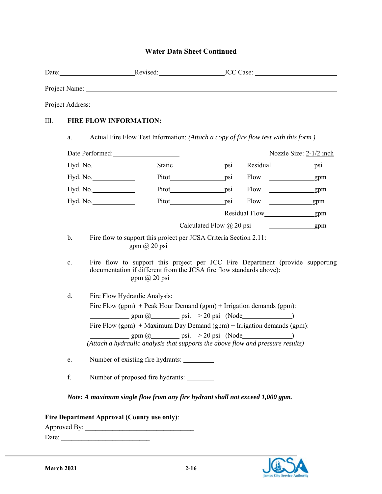# **Water Data Sheet Continued**

|              |                                  |                                                                                                                                                                                                                                                                                                                                                                                                                                                                                                                                                                                                                                                                                                                                                                                                                                                                                                                                                                                                                                                                                                                                          | Project Name: 1000 million and the contract of the contract of the contract of the contract of the contract of the contract of the contract of the contract of the contract of the contract of the contract of the contract of |                                 |                                                                                                                                                                                                                                      |                         |  |
|--------------|----------------------------------|------------------------------------------------------------------------------------------------------------------------------------------------------------------------------------------------------------------------------------------------------------------------------------------------------------------------------------------------------------------------------------------------------------------------------------------------------------------------------------------------------------------------------------------------------------------------------------------------------------------------------------------------------------------------------------------------------------------------------------------------------------------------------------------------------------------------------------------------------------------------------------------------------------------------------------------------------------------------------------------------------------------------------------------------------------------------------------------------------------------------------------------|--------------------------------------------------------------------------------------------------------------------------------------------------------------------------------------------------------------------------------|---------------------------------|--------------------------------------------------------------------------------------------------------------------------------------------------------------------------------------------------------------------------------------|-------------------------|--|
|              |                                  |                                                                                                                                                                                                                                                                                                                                                                                                                                                                                                                                                                                                                                                                                                                                                                                                                                                                                                                                                                                                                                                                                                                                          |                                                                                                                                                                                                                                |                                 |                                                                                                                                                                                                                                      |                         |  |
| III.         |                                  | <b>FIRE FLOW INFORMATION:</b>                                                                                                                                                                                                                                                                                                                                                                                                                                                                                                                                                                                                                                                                                                                                                                                                                                                                                                                                                                                                                                                                                                            |                                                                                                                                                                                                                                |                                 |                                                                                                                                                                                                                                      |                         |  |
|              | a.                               |                                                                                                                                                                                                                                                                                                                                                                                                                                                                                                                                                                                                                                                                                                                                                                                                                                                                                                                                                                                                                                                                                                                                          | Actual Fire Flow Test Information: (Attach a copy of fire flow test with this form.)                                                                                                                                           |                                 |                                                                                                                                                                                                                                      |                         |  |
|              |                                  | Date Performed:                                                                                                                                                                                                                                                                                                                                                                                                                                                                                                                                                                                                                                                                                                                                                                                                                                                                                                                                                                                                                                                                                                                          |                                                                                                                                                                                                                                |                                 |                                                                                                                                                                                                                                      | Nozzle Size: 2-1/2 inch |  |
|              | Hyd. No.<br>Hyd. No.<br>Hyd. No. |                                                                                                                                                                                                                                                                                                                                                                                                                                                                                                                                                                                                                                                                                                                                                                                                                                                                                                                                                                                                                                                                                                                                          |                                                                                                                                                                                                                                |                                 | Static__________________psi Residual_________________psi                                                                                                                                                                             |                         |  |
|              |                                  |                                                                                                                                                                                                                                                                                                                                                                                                                                                                                                                                                                                                                                                                                                                                                                                                                                                                                                                                                                                                                                                                                                                                          |                                                                                                                                                                                                                                |                                 |                                                                                                                                                                                                                                      | gpm                     |  |
|              |                                  |                                                                                                                                                                                                                                                                                                                                                                                                                                                                                                                                                                                                                                                                                                                                                                                                                                                                                                                                                                                                                                                                                                                                          | Pitot psi                                                                                                                                                                                                                      |                                 |                                                                                                                                                                                                                                      |                         |  |
|              |                                  | Hyd. No.                                                                                                                                                                                                                                                                                                                                                                                                                                                                                                                                                                                                                                                                                                                                                                                                                                                                                                                                                                                                                                                                                                                                 | Pitot psi                                                                                                                                                                                                                      |                                 | Flow gpm                                                                                                                                                                                                                             |                         |  |
|              |                                  |                                                                                                                                                                                                                                                                                                                                                                                                                                                                                                                                                                                                                                                                                                                                                                                                                                                                                                                                                                                                                                                                                                                                          |                                                                                                                                                                                                                                |                                 | Residual Flow gpm                                                                                                                                                                                                                    |                         |  |
|              |                                  |                                                                                                                                                                                                                                                                                                                                                                                                                                                                                                                                                                                                                                                                                                                                                                                                                                                                                                                                                                                                                                                                                                                                          |                                                                                                                                                                                                                                | Calculated Flow $\omega$ 20 psi | <u> 1989 - Johann Barn, mars ann an t-Alban ann an t-Alban ann an t-Alban ann an t-Alban ann an t-Alban ann an t-Alban ann an t-Alban ann an t-Alban ann an t-Alban ann an t-Alban ann an t-Alban ann an t-Alban ann an t-Alban </u> | gpm                     |  |
|              | c.<br>d.<br>e.                   | Fire flow to support this project per JCSA Criteria Section 2.11:<br>$\frac{1}{\text{gpm}(\omega)}$ gpm $(\omega)$ 20 psi<br>Fire flow to support this project per JCC Fire Department (provide supporting<br>documentation if different from the JCSA fire flow standards above):<br>gpm (a) 20 psi<br>Fire Flow Hydraulic Analysis:<br>Fire Flow (gpm) + Peak Hour Demand (gpm) + Irrigation demands (gpm):<br>$\qquad \qquad \text{gpm} \, \text{@}$ $\qquad \qquad \text{psi} \, \qquad \text{psi} \, \qquad \text{psi} \, \qquad \text{psi} \, \qquad \text{psi} \, \qquad \text{psi} \, \qquad \text{psi} \, \qquad \text{psi} \, \qquad \text{psi} \, \qquad \text{psi} \, \qquad \text{psi} \, \qquad \text{psi} \, \qquad \text{psi} \, \qquad \text{psi} \, \qquad \text{psi} \, \qquad \text{psi} \, \qquad \text{psi} \, \qquad \text{psi} \, \qquad \text{psi} \, \qquad \text$<br>Fire Flow (gpm) + Maximum Day Demand (gpm) + Irrigation demands (gpm):<br>$gpm \ (\partial)$ psi. > 20 psi (Node<br>(Attach a hydraulic analysis that supports the above flow and pressure results)<br>Number of existing fire hydrants: |                                                                                                                                                                                                                                |                                 |                                                                                                                                                                                                                                      |                         |  |
|              | ${\bf f}.$                       |                                                                                                                                                                                                                                                                                                                                                                                                                                                                                                                                                                                                                                                                                                                                                                                                                                                                                                                                                                                                                                                                                                                                          | Number of proposed fire hydrants:                                                                                                                                                                                              |                                 |                                                                                                                                                                                                                                      |                         |  |
|              |                                  |                                                                                                                                                                                                                                                                                                                                                                                                                                                                                                                                                                                                                                                                                                                                                                                                                                                                                                                                                                                                                                                                                                                                          | Note: A maximum single flow from any fire hydrant shall not exceed 1,000 gpm.                                                                                                                                                  |                                 |                                                                                                                                                                                                                                      |                         |  |
| Approved By: |                                  | Fire Department Approval (County use only):                                                                                                                                                                                                                                                                                                                                                                                                                                                                                                                                                                                                                                                                                                                                                                                                                                                                                                                                                                                                                                                                                              |                                                                                                                                                                                                                                |                                 |                                                                                                                                                                                                                                      |                         |  |

Date: \_\_\_\_\_\_\_\_\_\_\_\_\_\_\_\_\_\_\_\_\_\_\_\_\_\_